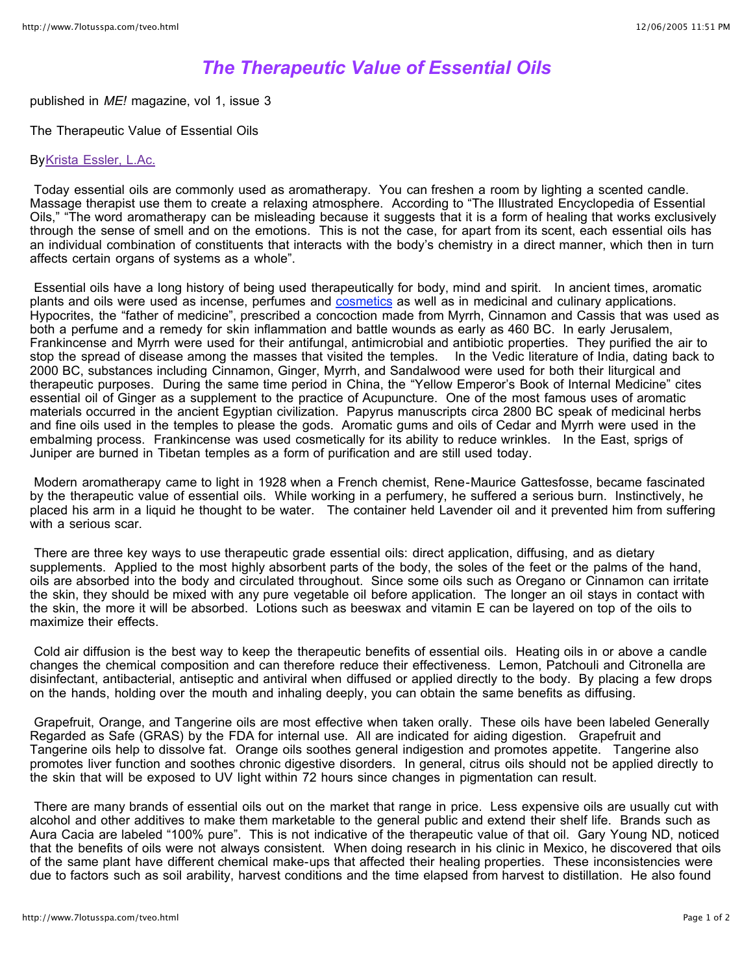## *The Therapeutic Value of Essential Oils*

published in *ME!* magazine, vol 1, issue 3

The Therapeutic Value of Essential Oils

## ByKrista Essler, L.Ac.

Today essential oils are commonly used as aromatherapy. You can freshen a room by lighting a scented candle. Massage therapist use them to create a relaxing atmosphere. According to "The Illustrated Encyclopedia of Essential Oils," "The word aromatherapy can be misleading because it suggests that it is a form of healing that works exclusively through the sense of smell and on the emotions. This is not the case, for apart from its scent, each essential oils has an individual combination of constituents that interacts with the body's chemistry in a direct manner, which then in turn affects certain organs of systems as a whole".

Essential oils have a long history of being used therapeutically for body, mind and spirit. In ancient times, aromatic plants and oils were used as incense, perfumes and cosmetics as well as in medicinal and culinary applications. Hypocrites, the "father of medicine", prescribed a concoction made from Myrrh, Cinnamon and Cassis that was used as both a perfume and a remedy for skin inflammation and battle wounds as early as 460 BC. In early Jerusalem, Frankincense and Myrrh were used for their antifungal, antimicrobial and antibiotic properties. They purified the air to stop the spread of disease among the masses that visited the temples. In the Vedic literature of India, dating back to 2000 BC, substances including Cinnamon, Ginger, Myrrh, and Sandalwood were used for both their liturgical and therapeutic purposes. During the same time period in China, the "Yellow Emperor's Book of Internal Medicine" cites essential oil of Ginger as a supplement to the practice of Acupuncture. One of the most famous uses of aromatic materials occurred in the ancient Egyptian civilization. Papyrus manuscripts circa 2800 BC speak of medicinal herbs and fine oils used in the temples to please the gods. Aromatic gums and oils of Cedar and Myrrh were used in the embalming process. Frankincense was used cosmetically for its ability to reduce wrinkles. In the East, sprigs of Juniper are burned in Tibetan temples as a form of purification and are still used today.

Modern aromatherapy came to light in 1928 when a French chemist, Rene-Maurice Gattesfosse, became fascinated by the therapeutic value of essential oils. While working in a perfumery, he suffered a serious burn. Instinctively, he placed his arm in a liquid he thought to be water. The container held Lavender oil and it prevented him from suffering with a serious scar.

There are three key ways to use therapeutic grade essential oils: direct application, diffusing, and as dietary supplements. Applied to the most highly absorbent parts of the body, the soles of the feet or the palms of the hand, oils are absorbed into the body and circulated throughout. Since some oils such as Oregano or Cinnamon can irritate the skin, they should be mixed with any pure vegetable oil before application. The longer an oil stays in contact with the skin, the more it will be absorbed. Lotions such as beeswax and vitamin E can be layered on top of the oils to maximize their effects.

Cold air diffusion is the best way to keep the therapeutic benefits of essential oils. Heating oils in or above a candle changes the chemical composition and can therefore reduce their effectiveness. Lemon, Patchouli and Citronella are disinfectant, antibacterial, antiseptic and antiviral when diffused or applied directly to the body. By placing a few drops on the hands, holding over the mouth and inhaling deeply, you can obtain the same benefits as diffusing.

Grapefruit, Orange, and Tangerine oils are most effective when taken orally. These oils have been labeled Generally Regarded as Safe (GRAS) by the FDA for internal use. All are indicated for aiding digestion. Grapefruit and Tangerine oils help to dissolve fat. Orange oils soothes general indigestion and promotes appetite. Tangerine also promotes liver function and soothes chronic digestive disorders. In general, citrus oils should not be applied directly to the skin that will be exposed to UV light within 72 hours since changes in pigmentation can result.

There are many brands of essential oils out on the market that range in price. Less expensive oils are usually cut with alcohol and other additives to make them marketable to the general public and extend their shelf life. Brands such as Aura Cacia are labeled "100% pure". This is not indicative of the therapeutic value of that oil. Gary Young ND, noticed that the benefits of oils were not always consistent. When doing research in his clinic in Mexico, he discovered that oils of the same plant have different chemical make-ups that affected their healing properties. These inconsistencies were due to factors such as soil arability, harvest conditions and the time elapsed from harvest to distillation. He also found